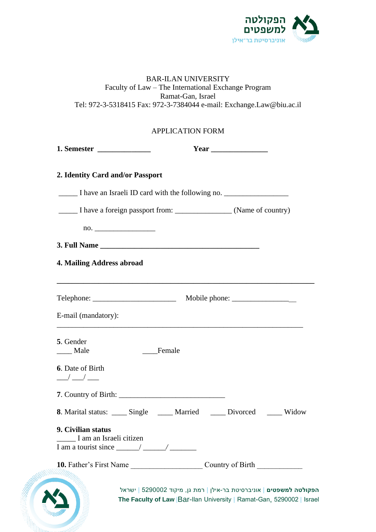

| <b>BAR-ILAN UNIVERSITY</b>                                           |
|----------------------------------------------------------------------|
| Faculty of Law – The International Exchange Program                  |
| Ramat-Gan, Israel                                                    |
| Tel: 972-3-5318415 Fax: 972-3-7384044 e-mail: Exchange.Law@biu.ac.il |
|                                                                      |
|                                                                      |
| <b>APPLICATION FORM</b>                                              |

| 2. Identity Card and/or Passport                                                                                                                                                                                                                                                                                                        |                                                                           |
|-----------------------------------------------------------------------------------------------------------------------------------------------------------------------------------------------------------------------------------------------------------------------------------------------------------------------------------------|---------------------------------------------------------------------------|
|                                                                                                                                                                                                                                                                                                                                         | I have an Israeli ID card with the following no.                          |
|                                                                                                                                                                                                                                                                                                                                         |                                                                           |
| $\overline{no}$ .                                                                                                                                                                                                                                                                                                                       |                                                                           |
|                                                                                                                                                                                                                                                                                                                                         |                                                                           |
| 4. Mailing Address abroad                                                                                                                                                                                                                                                                                                               |                                                                           |
|                                                                                                                                                                                                                                                                                                                                         |                                                                           |
|                                                                                                                                                                                                                                                                                                                                         |                                                                           |
| E-mail (mandatory):                                                                                                                                                                                                                                                                                                                     |                                                                           |
| 5. Gender                                                                                                                                                                                                                                                                                                                               |                                                                           |
| Female<br>___ Male                                                                                                                                                                                                                                                                                                                      |                                                                           |
| 6. Date of Birth<br>$\frac{1}{2}$ $\frac{1}{2}$ $\frac{1}{2}$ $\frac{1}{2}$ $\frac{1}{2}$ $\frac{1}{2}$ $\frac{1}{2}$ $\frac{1}{2}$ $\frac{1}{2}$ $\frac{1}{2}$ $\frac{1}{2}$ $\frac{1}{2}$ $\frac{1}{2}$ $\frac{1}{2}$ $\frac{1}{2}$ $\frac{1}{2}$ $\frac{1}{2}$ $\frac{1}{2}$ $\frac{1}{2}$ $\frac{1}{2}$ $\frac{1}{2}$ $\frac{1}{2}$ |                                                                           |
|                                                                                                                                                                                                                                                                                                                                         |                                                                           |
|                                                                                                                                                                                                                                                                                                                                         | 8. Marital status: _____ Single ______ Married _____ Divorced _____ Widow |
| 9. Civilian status                                                                                                                                                                                                                                                                                                                      |                                                                           |
| I am an Israeli citizen<br>I am a tourist since $\frac{1}{2}$ $\frac{1}{2}$ $\frac{1}{2}$ $\frac{1}{2}$ $\frac{1}{2}$ $\frac{1}{2}$ $\frac{1}{2}$ $\frac{1}{2}$ $\frac{1}{2}$ $\frac{1}{2}$ $\frac{1}{2}$ $\frac{1}{2}$ $\frac{1}{2}$ $\frac{1}{2}$ $\frac{1}{2}$ $\frac{1}{2}$ $\frac{1}{2}$ $\frac{1}{2}$ $\frac{1}{2}$ $\frac{1}{2}$ |                                                                           |
|                                                                                                                                                                                                                                                                                                                                         |                                                                           |
|                                                                                                                                                                                                                                                                                                                                         |                                                                           |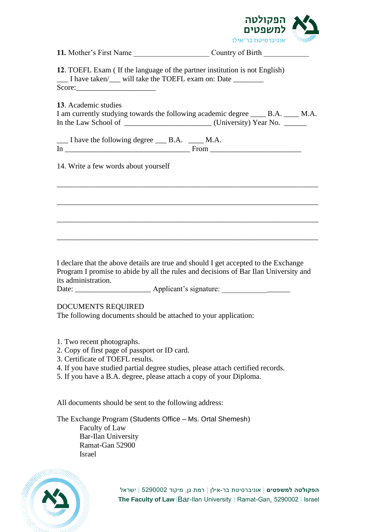

|                                                                                                                 | אוניבו טיעונבו איקן                                                                                                                                                         | <b>SARRED</b> |
|-----------------------------------------------------------------------------------------------------------------|-----------------------------------------------------------------------------------------------------------------------------------------------------------------------------|---------------|
|                                                                                                                 | 11. Mother's First Name Country of Birth                                                                                                                                    |               |
| Score:                                                                                                          | 12. TOEFL Exam (If the language of the partner institution is not English)<br>__ I have taken/__ will take the TOEFL exam on: Date _______                                  |               |
| 13. Academic studies                                                                                            | I am currently studying towards the following academic degree _____ B.A. _____ M.A.                                                                                         |               |
| __ I have the following degree __ B.A. __ M.A.                                                                  |                                                                                                                                                                             |               |
| 14. Write a few words about yourself                                                                            |                                                                                                                                                                             |               |
|                                                                                                                 |                                                                                                                                                                             |               |
|                                                                                                                 |                                                                                                                                                                             |               |
|                                                                                                                 |                                                                                                                                                                             |               |
| its administration.                                                                                             | I declare that the above details are true and should I get accepted to the Exchange<br>Program I promise to abide by all the rules and decisions of Bar Ilan University and |               |
| DOCUMENTS REQUIRED                                                                                              | The following documents should be attached to your application:                                                                                                             |               |
| 1. Two recent photographs.<br>2. Copy of first page of passport or ID card.<br>3. Certificate of TOEFL results. | 4. If you have studied partial degree studies, please attach certified records.<br>5. If you have a B.A. degree, please attach a copy of your Diploma.                      |               |

All documents should be sent to the following address:

The Exchange Program (Students Office – Ms. Ortal Shemesh) Faculty of Law Bar-Ilan University Ramat-Gan 52900 Israel



**הפקולטה למשפטים** | אוניברסיטת בר-אילן | רמת גן, מיקוד 5290002 | ישראל **The Faculty of Law** |Bar-Ilan University | Ramat-Gan, 5290002 | Israel